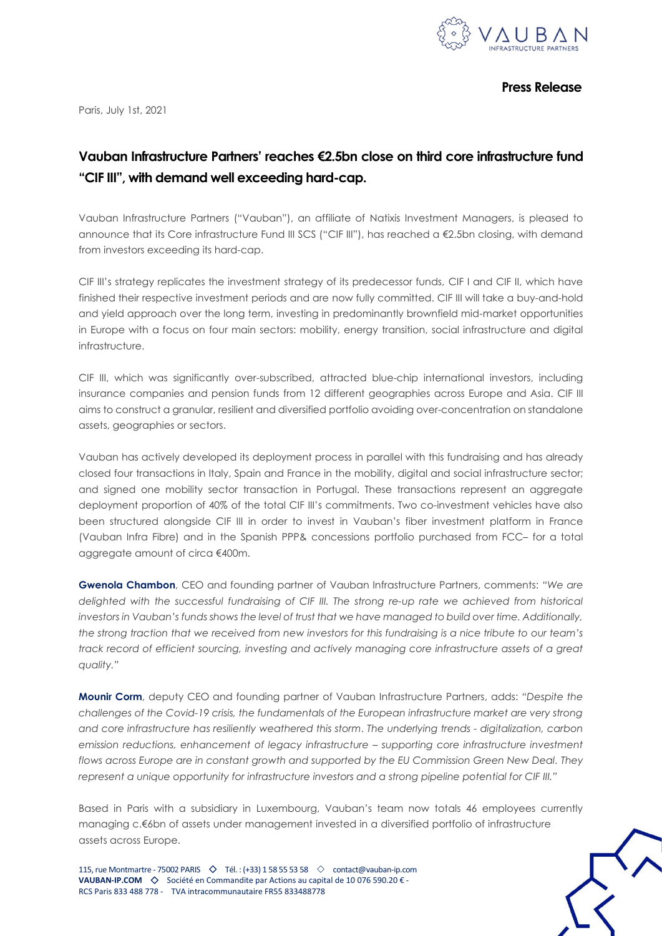

**Press Release**

Paris, July 1st, 2021

# **Vauban Infrastructure Partners' reaches €2.5bn close on third core infrastructure fund "CIF III", with demand well exceeding hard-cap.**

Vauban Infrastructure Partners ("Vauban"), an affiliate of Natixis Investment Managers, is pleased to announce that its Core infrastructure Fund III SCS ("CIF III"), has reached a €2.5bn closing, with demand from investors exceeding its hard-cap.

CIF III's strategy replicates the investment strategy of its predecessor funds, CIF I and CIF II, which have finished their respective investment periods and are now fully committed. CIF III will take a buy-and-hold and yield approach over the long term, investing in predominantly brownfield mid-market opportunities in Europe with a focus on four main sectors: mobility, energy transition, social infrastructure and digital infrastructure.

CIF III, which was significantly over-subscribed, attracted blue-chip international investors, including insurance companies and pension funds from 12 different geographies across Europe and Asia. CIF III aims to construct a granular, resilient and diversified portfolio avoiding over-concentration on standalone assets, geographies or sectors.

Vauban has actively developed its deployment process in parallel with this fundraising and has already closed four transactions in Italy, Spain and France in the mobility, digital and social infrastructure sector; and signed one mobility sector transaction in Portugal. These transactions represent an aggregate deployment proportion of 40% of the total CIF III's commitments. Two co-investment vehicles have also been structured alongside CIF III in order to invest in Vauban's fiber investment platform in France (Vauban Infra Fibre) and in the Spanish PPP& concessions portfolio purchased from FCC– for a total aggregate amount of circa €400m.

**Gwenola Chambon**, CEO and founding partner of Vauban Infrastructure Partners, comments: *"We are delighted with the successful fundraising of CIF III. The strong re-up rate we achieved from historical investors in Vauban's funds shows the level of trust that we have managed to build over time. Additionally, the strong traction that we received from new investors for this fundraising is a nice tribute to our team's track record of efficient sourcing, investing and actively managing core infrastructure assets of a great quality."*

**Mounir Corm**, deputy CEO and founding partner of Vauban Infrastructure Partners, adds: *"Despite the challenges of the Covid-19 crisis, the fundamentals of the European infrastructure market are very strong and core infrastructure has resiliently weathered this storm*. *The underlying trends - digitalization, carbon emission reductions, enhancement of legacy infrastructure – supporting core infrastructure investment flows across Europe are in constant growth and supported by the EU Commission Green New Deal. They represent a unique opportunity for infrastructure investors and a strong pipeline potential for CIF III."*

Based in Paris with a subsidiary in Luxembourg, Vauban's team now totals 46 employees currently managing c.€6bn of assets under management invested in a diversified portfolio of infrastructure assets across Europe.